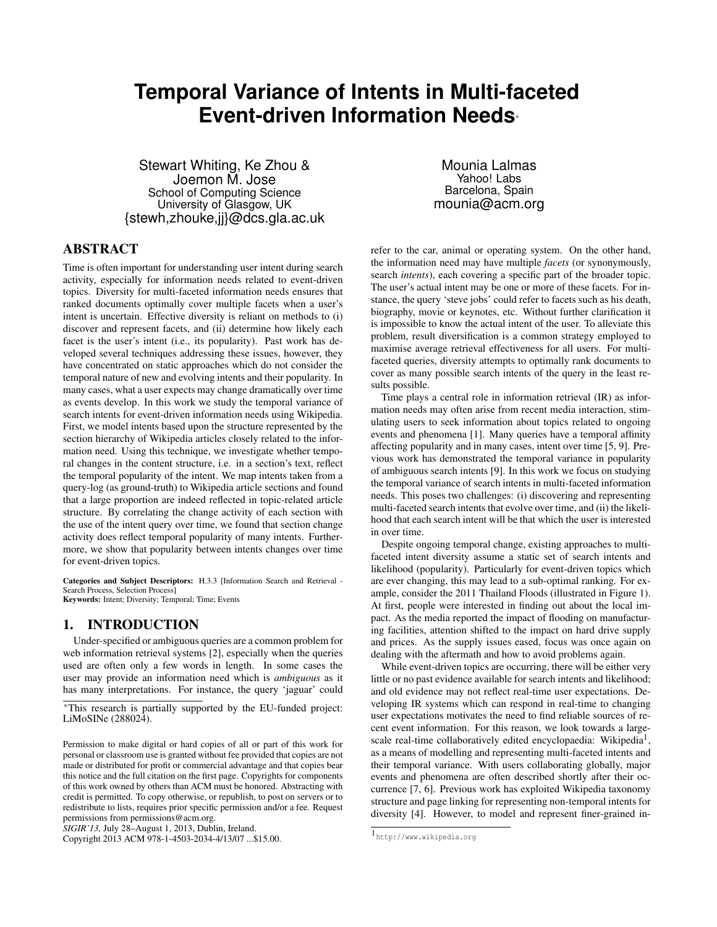# **Temporal Variance of Intents in Multi-faceted Event-driven Information Needs**<sup>∗</sup>

Stewart Whiting, Ke Zhou & Joemon M. Jose School of Computing Science University of Glasgow, UK {stewh,zhouke,jj}@dcs.gla.ac.uk

ABSTRACT

Time is often important for understanding user intent during search activity, especially for information needs related to event-driven topics. Diversity for multi-faceted information needs ensures that ranked documents optimally cover multiple facets when a user's intent is uncertain. Effective diversity is reliant on methods to (i) discover and represent facets, and (ii) determine how likely each facet is the user's intent (i.e., its popularity). Past work has developed several techniques addressing these issues, however, they have concentrated on static approaches which do not consider the temporal nature of new and evolving intents and their popularity. In many cases, what a user expects may change dramatically over time as events develop. In this work we study the temporal variance of search intents for event-driven information needs using Wikipedia. First, we model intents based upon the structure represented by the section hierarchy of Wikipedia articles closely related to the information need. Using this technique, we investigate whether temporal changes in the content structure, i.e. in a section's text, reflect the temporal popularity of the intent. We map intents taken from a query-log (as ground-truth) to Wikipedia article sections and found that a large proportion are indeed reflected in topic-related article structure. By correlating the change activity of each section with the use of the intent query over time, we found that section change activity does reflect temporal popularity of many intents. Furthermore, we show that popularity between intents changes over time for event-driven topics.

Categories and Subject Descriptors: H.3.3 [Information Search and Retrieval - Search Process, Selection Process] Keywords: Intent; Diversity; Temporal; Time; Events

# 1. INTRODUCTION

Under-specified or ambiguous queries are a common problem for web information retrieval systems [2], especially when the queries used are often only a few words in length. In some cases the user may provide an information need which is *ambiguous* as it has many interpretations. For instance, the query 'jaguar' could

*SIGIR'13,* July 28–August 1, 2013, Dublin, Ireland.

Copyright 2013 ACM 978-1-4503-2034-4/13/07 ...\$15.00.

Mounia Lalmas Yahoo! Labs Barcelona, Spain mounia@acm.org

refer to the car, animal or operating system. On the other hand, the information need may have multiple *facets* (or synonymously, search *intents*), each covering a specific part of the broader topic. The user's actual intent may be one or more of these facets. For instance, the query 'steve jobs' could refer to facets such as his death, biography, movie or keynotes, etc. Without further clarification it is impossible to know the actual intent of the user. To alleviate this problem, result diversification is a common strategy employed to maximise average retrieval effectiveness for all users. For multifaceted queries, diversity attempts to optimally rank documents to cover as many possible search intents of the query in the least results possible.

Time plays a central role in information retrieval (IR) as information needs may often arise from recent media interaction, stimulating users to seek information about topics related to ongoing events and phenomena [1]. Many queries have a temporal affinity affecting popularity and in many cases, intent over time [5, 9]. Previous work has demonstrated the temporal variance in popularity of ambiguous search intents [9]. In this work we focus on studying the temporal variance of search intents in multi-faceted information needs. This poses two challenges: (i) discovering and representing multi-faceted search intents that evolve over time, and (ii) the likelihood that each search intent will be that which the user is interested in over time.

Despite ongoing temporal change, existing approaches to multifaceted intent diversity assume a static set of search intents and likelihood (popularity). Particularly for event-driven topics which are ever changing, this may lead to a sub-optimal ranking. For example, consider the 2011 Thailand Floods (illustrated in Figure 1). At first, people were interested in finding out about the local impact. As the media reported the impact of flooding on manufacturing facilities, attention shifted to the impact on hard drive supply and prices. As the supply issues eased, focus was once again on dealing with the aftermath and how to avoid problems again.

While event-driven topics are occurring, there will be either very little or no past evidence available for search intents and likelihood; and old evidence may not reflect real-time user expectations. Developing IR systems which can respond in real-time to changing user expectations motivates the need to find reliable sources of recent event information. For this reason, we look towards a largescale real-time collaboratively edited encyclopaedia: Wikipedia<sup>1</sup>, as a means of modelling and representing multi-faceted intents and their temporal variance. With users collaborating globally, major events and phenomena are often described shortly after their occurrence [7, 6]. Previous work has exploited Wikipedia taxonomy structure and page linking for representing non-temporal intents for diversity [4]. However, to model and represent finer-grained in-

<sup>∗</sup>This research is partially supported by the EU-funded project: LiMoSINe (288024).

Permission to make digital or hard copies of all or part of this work for personal or classroom use is granted without fee provided that copies are not made or distributed for profit or commercial advantage and that copies bear this notice and the full citation on the first page. Copyrights for components of this work owned by others than ACM must be honored. Abstracting with credit is permitted. To copy otherwise, or republish, to post on servers or to redistribute to lists, requires prior specific permission and/or a fee. Request permissions from permissions@acm.org.

<sup>1</sup> http://www.wikipedia.org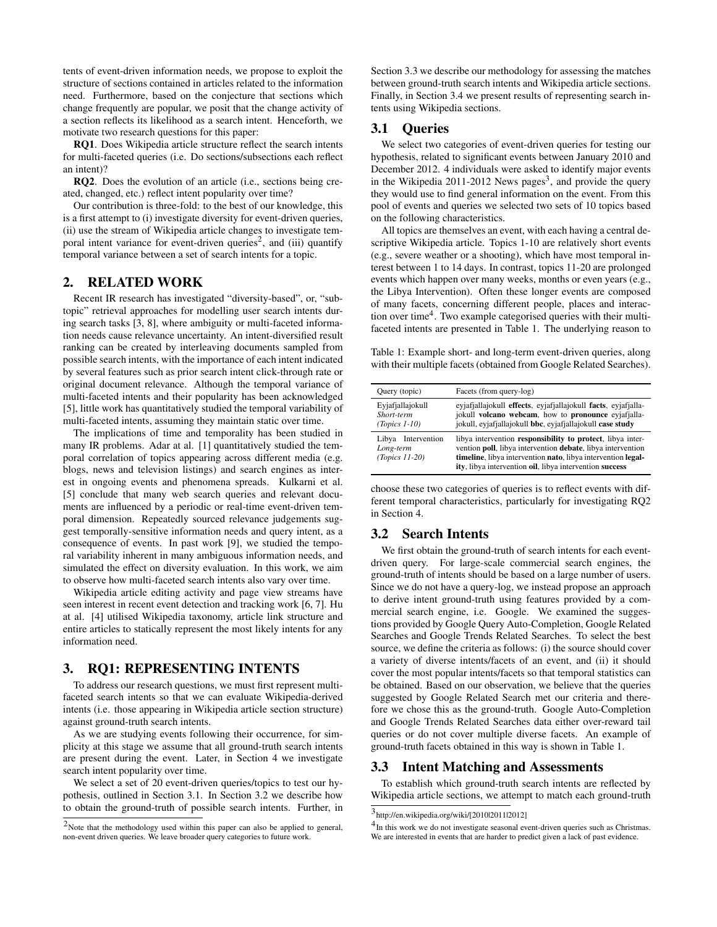tents of event-driven information needs, we propose to exploit the structure of sections contained in articles related to the information need. Furthermore, based on the conjecture that sections which change frequently are popular, we posit that the change activity of a section reflects its likelihood as a search intent. Henceforth, we motivate two research questions for this paper:

RQ1. Does Wikipedia article structure reflect the search intents for multi-faceted queries (i.e. Do sections/subsections each reflect an intent)?

RQ2. Does the evolution of an article (i.e., sections being created, changed, etc.) reflect intent popularity over time?

Our contribution is three-fold: to the best of our knowledge, this is a first attempt to (i) investigate diversity for event-driven queries, (ii) use the stream of Wikipedia article changes to investigate temporal intent variance for event-driven queries<sup>2</sup>, and (iii) quantify temporal variance between a set of search intents for a topic.

# 2. RELATED WORK

Recent IR research has investigated "diversity-based", or, "subtopic" retrieval approaches for modelling user search intents during search tasks [3, 8], where ambiguity or multi-faceted information needs cause relevance uncertainty. An intent-diversified result ranking can be created by interleaving documents sampled from possible search intents, with the importance of each intent indicated by several features such as prior search intent click-through rate or original document relevance. Although the temporal variance of multi-faceted intents and their popularity has been acknowledged [5], little work has quantitatively studied the temporal variability of multi-faceted intents, assuming they maintain static over time.

The implications of time and temporality has been studied in many IR problems. Adar at al. [1] quantitatively studied the temporal correlation of topics appearing across different media (e.g. blogs, news and television listings) and search engines as interest in ongoing events and phenomena spreads. Kulkarni et al. [5] conclude that many web search queries and relevant documents are influenced by a periodic or real-time event-driven temporal dimension. Repeatedly sourced relevance judgements suggest temporally-sensitive information needs and query intent, as a consequence of events. In past work [9], we studied the temporal variability inherent in many ambiguous information needs, and simulated the effect on diversity evaluation. In this work, we aim to observe how multi-faceted search intents also vary over time.

Wikipedia article editing activity and page view streams have seen interest in recent event detection and tracking work [6, 7]. Hu at al. [4] utilised Wikipedia taxonomy, article link structure and entire articles to statically represent the most likely intents for any information need.

## 3. RQ1: REPRESENTING INTENTS

To address our research questions, we must first represent multifaceted search intents so that we can evaluate Wikipedia-derived intents (i.e. those appearing in Wikipedia article section structure) against ground-truth search intents.

As we are studying events following their occurrence, for simplicity at this stage we assume that all ground-truth search intents are present during the event. Later, in Section 4 we investigate search intent popularity over time.

We select a set of 20 event-driven queries/topics to test our hypothesis, outlined in Section 3.1. In Section 3.2 we describe how to obtain the ground-truth of possible search intents. Further, in Section 3.3 we describe our methodology for assessing the matches between ground-truth search intents and Wikipedia article sections. Finally, in Section 3.4 we present results of representing search intents using Wikipedia sections.

#### 3.1 Queries

We select two categories of event-driven queries for testing our hypothesis, related to significant events between January 2010 and December 2012. 4 individuals were asked to identify major events in the Wikipedia 2011-2012 News pages<sup>3</sup>, and provide the query they would use to find general information on the event. From this pool of events and queries we selected two sets of 10 topics based on the following characteristics.

All topics are themselves an event, with each having a central descriptive Wikipedia article. Topics 1-10 are relatively short events (e.g., severe weather or a shooting), which have most temporal interest between 1 to 14 days. In contrast, topics 11-20 are prolonged events which happen over many weeks, months or even years (e.g., the Libya Intervention). Often these longer events are composed of many facets, concerning different people, places and interaction over time<sup>4</sup>. Two example categorised queries with their multifaceted intents are presented in Table 1. The underlying reason to

Table 1: Example short- and long-term event-driven queries, along with their multiple facets (obtained from Google Related Searches).

| Query (topic)                                       | Facets (from query-log)                                                                                                                                                                                                                              |
|-----------------------------------------------------|------------------------------------------------------------------------------------------------------------------------------------------------------------------------------------------------------------------------------------------------------|
| Eviafjallajokull<br>Short-term<br>$(Topics 1-10)$   | eyjafjallajokull effects, eyjafjallajokull facts, eyjafjalla-<br>jokull volcano webcam, how to pronounce eviafjalla-<br>jokull, eyjafjallajokull bbc, eyjafjallajokull case study                                                                    |
| Libya Intervention<br>Long-term<br>$(Topics 11-20)$ | liby intervention responsibility to protect, liby a inter-<br>vention poll, libya intervention debate, libya intervention<br>timeline, libya intervention nato, libya intervention legal-<br>ity, libya intervention oil, libya intervention success |

choose these two categories of queries is to reflect events with different temporal characteristics, particularly for investigating RQ2 in Section 4.

# 3.2 Search Intents

We first obtain the ground-truth of search intents for each eventdriven query. For large-scale commercial search engines, the ground-truth of intents should be based on a large number of users. Since we do not have a query-log, we instead propose an approach to derive intent ground-truth using features provided by a commercial search engine, i.e. Google. We examined the suggestions provided by Google Query Auto-Completion, Google Related Searches and Google Trends Related Searches. To select the best source, we define the criteria as follows: (i) the source should cover a variety of diverse intents/facets of an event, and (ii) it should cover the most popular intents/facets so that temporal statistics can be obtained. Based on our observation, we believe that the queries suggested by Google Related Search met our criteria and therefore we chose this as the ground-truth. Google Auto-Completion and Google Trends Related Searches data either over-reward tail queries or do not cover multiple diverse facets. An example of ground-truth facets obtained in this way is shown in Table 1.

#### 3.3 Intent Matching and Assessments

To establish which ground-truth search intents are reflected by Wikipedia article sections, we attempt to match each ground-truth

<sup>&</sup>lt;sup>2</sup>Note that the methodology used within this paper can also be applied to general, non-event driven queries. We leave broader query categories to future work.

<sup>3</sup> http://en.wikipedia.org/wiki/[2010|2011|2012]

<sup>&</sup>lt;sup>4</sup>In this work we do not investigate seasonal event-driven queries such as Christmas. We are interested in events that are harder to predict given a lack of past evidence.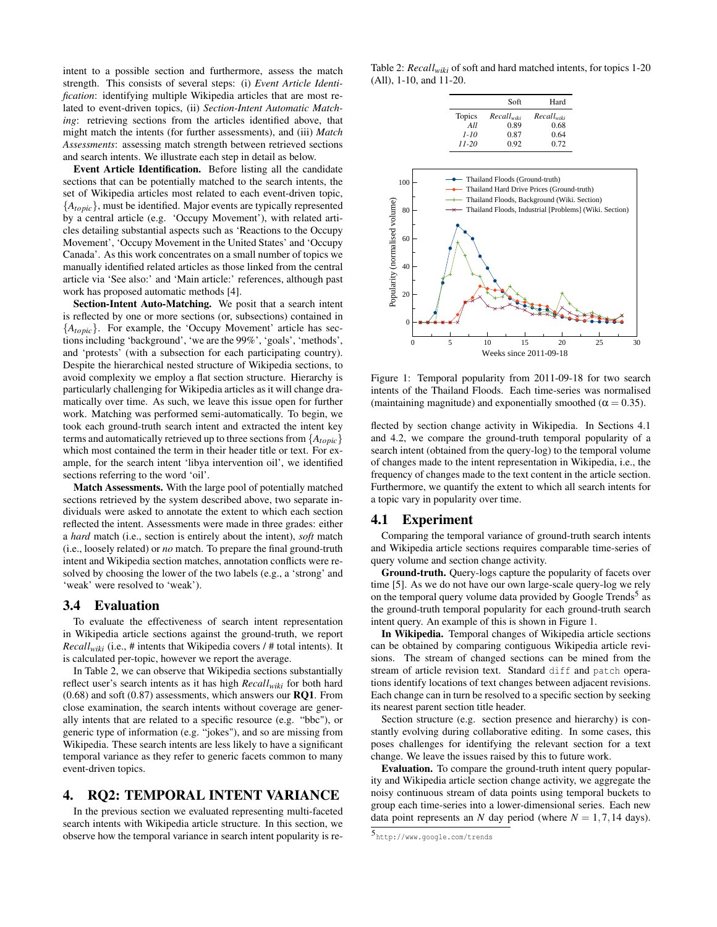intent to a possible section and furthermore, assess the match strength. This consists of several steps: (i) *Event Article Identification*: identifying multiple Wikipedia articles that are most related to event-driven topics, (ii) *Section-Intent Automatic Matching*: retrieving sections from the articles identified above, that might match the intents (for further assessments), and (iii) *Match Assessments*: assessing match strength between retrieved sections and search intents. We illustrate each step in detail as below.

Event Article Identification. Before listing all the candidate sections that can be potentially matched to the search intents, the set of Wikipedia articles most related to each event-driven topic, {*Atopic*}, must be identified. Major events are typically represented by a central article (e.g. 'Occupy Movement'), with related articles detailing substantial aspects such as 'Reactions to the Occupy Movement', 'Occupy Movement in the United States' and 'Occupy Canada'. As this work concentrates on a small number of topics we manually identified related articles as those linked from the central article via 'See also:' and 'Main article:' references, although past work has proposed automatic methods [4].

Section-Intent Auto-Matching. We posit that a search intent is reflected by one or more sections (or, subsections) contained in {*Atopic*}. For example, the 'Occupy Movement' article has sections including 'background', 'we are the 99%', 'goals', 'methods', and 'protests' (with a subsection for each participating country). Despite the hierarchical nested structure of Wikipedia sections, to avoid complexity we employ a flat section structure. Hierarchy is particularly challenging for Wikipedia articles as it will change dramatically over time. As such, we leave this issue open for further work. Matching was performed semi-automatically. To begin, we took each ground-truth search intent and extracted the intent key terms and automatically retrieved up to three sections from {*Atopic*} which most contained the term in their header title or text. For example, for the search intent 'libya intervention oil', we identified sections referring to the word 'oil'.

Match Assessments. With the large pool of potentially matched sections retrieved by the system described above, two separate individuals were asked to annotate the extent to which each section reflected the intent. Assessments were made in three grades: either a *hard* match (i.e., section is entirely about the intent), *soft* match (i.e., loosely related) or *no* match. To prepare the final ground-truth intent and Wikipedia section matches, annotation conflicts were resolved by choosing the lower of the two labels (e.g., a 'strong' and 'weak' were resolved to 'weak').

#### 3.4 Evaluation

To evaluate the effectiveness of search intent representation in Wikipedia article sections against the ground-truth, we report *Recallwiki* (i.e., # intents that Wikipedia covers / # total intents). It is calculated per-topic, however we report the average.

In Table 2, we can observe that Wikipedia sections substantially reflect user's search intents as it has high *Recallwiki* for both hard  $(0.68)$  and soft  $(0.87)$  assessments, which answers our **RQ1**. From close examination, the search intents without coverage are generally intents that are related to a specific resource (e.g. "bbc"), or generic type of information (e.g. "jokes"), and so are missing from Wikipedia. These search intents are less likely to have a significant temporal variance as they refer to generic facets common to many event-driven topics.

#### 4. RQ2: TEMPORAL INTENT VARIANCE

In the previous section we evaluated representing multi-faceted search intents with Wikipedia article structure. In this section, we observe how the temporal variance in search intent popularity is re-

Table 2: *Recallwiki* of soft and hard matched intents, for topics 1-20 (All), 1-10, and 11-20.

|               | Soft       | Hard            |
|---------------|------------|-----------------|
| <b>Topics</b> | Recallwiki | $Recall_{with}$ |
| All           | 0.89       | 0.68            |
| $1 - 10$      | 0.87       | 0.64            |
| $11 - 20$     | 0.92       | 0.72            |



Figure 1: Temporal popularity from 2011-09-18 for two search intents of the Thailand Floods. Each time-series was normalised (maintaining magnitude) and exponentially smoothed ( $\alpha = 0.35$ ).

flected by section change activity in Wikipedia. In Sections 4.1 and 4.2, we compare the ground-truth temporal popularity of a search intent (obtained from the query-log) to the temporal volume of changes made to the intent representation in Wikipedia, i.e., the frequency of changes made to the text content in the article section. Furthermore, we quantify the extent to which all search intents for a topic vary in popularity over time.

### 4.1 Experiment

Comparing the temporal variance of ground-truth search intents and Wikipedia article sections requires comparable time-series of query volume and section change activity.

Ground-truth. Query-logs capture the popularity of facets over time [5]. As we do not have our own large-scale query-log we rely on the temporal query volume data provided by Google Trends<sup>5</sup> as the ground-truth temporal popularity for each ground-truth search intent query. An example of this is shown in Figure 1.

In Wikipedia. Temporal changes of Wikipedia article sections can be obtained by comparing contiguous Wikipedia article revisions. The stream of changed sections can be mined from the stream of article revision text. Standard diff and patch operations identify locations of text changes between adjacent revisions. Each change can in turn be resolved to a specific section by seeking its nearest parent section title header.

Section structure (e.g. section presence and hierarchy) is constantly evolving during collaborative editing. In some cases, this poses challenges for identifying the relevant section for a text change. We leave the issues raised by this to future work.

Evaluation. To compare the ground-truth intent query popularity and Wikipedia article section change activity, we aggregate the noisy continuous stream of data points using temporal buckets to group each time-series into a lower-dimensional series. Each new data point represents an *N* day period (where  $N = 1, 7, 14$  days).

<sup>5</sup> http://www.google.com/trends